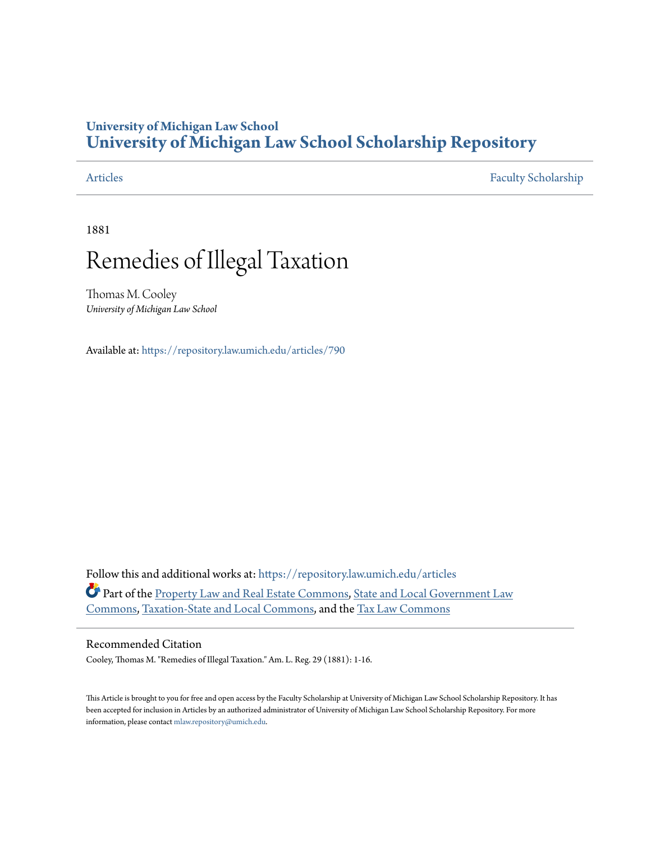### **University of Michigan Law School [University of Michigan Law School Scholarship Repository](https://repository.law.umich.edu?utm_source=repository.law.umich.edu%2Farticles%2F790&utm_medium=PDF&utm_campaign=PDFCoverPages)**

[Articles](https://repository.law.umich.edu/articles?utm_source=repository.law.umich.edu%2Farticles%2F790&utm_medium=PDF&utm_campaign=PDFCoverPages) [Faculty Scholarship](https://repository.law.umich.edu/faculty_scholarship?utm_source=repository.law.umich.edu%2Farticles%2F790&utm_medium=PDF&utm_campaign=PDFCoverPages)

1881

# Remedies of Illegal Taxation

Thomas M. Cooley *University of Michigan Law School*

Available at: <https://repository.law.umich.edu/articles/790>

Follow this and additional works at: [https://repository.law.umich.edu/articles](https://repository.law.umich.edu/articles?utm_source=repository.law.umich.edu%2Farticles%2F790&utm_medium=PDF&utm_campaign=PDFCoverPages) Part of the [Property Law and Real Estate Commons](http://network.bepress.com/hgg/discipline/897?utm_source=repository.law.umich.edu%2Farticles%2F790&utm_medium=PDF&utm_campaign=PDFCoverPages), [State and Local Government Law](http://network.bepress.com/hgg/discipline/879?utm_source=repository.law.umich.edu%2Farticles%2F790&utm_medium=PDF&utm_campaign=PDFCoverPages) [Commons,](http://network.bepress.com/hgg/discipline/879?utm_source=repository.law.umich.edu%2Farticles%2F790&utm_medium=PDF&utm_campaign=PDFCoverPages) [Taxation-State and Local Commons](http://network.bepress.com/hgg/discipline/882?utm_source=repository.law.umich.edu%2Farticles%2F790&utm_medium=PDF&utm_campaign=PDFCoverPages), and the [Tax Law Commons](http://network.bepress.com/hgg/discipline/898?utm_source=repository.law.umich.edu%2Farticles%2F790&utm_medium=PDF&utm_campaign=PDFCoverPages)

### Recommended Citation

Cooley, Thomas M. "Remedies of Illegal Taxation." Am. L. Reg. 29 (1881): 1-16.

This Article is brought to you for free and open access by the Faculty Scholarship at University of Michigan Law School Scholarship Repository. It has been accepted for inclusion in Articles by an authorized administrator of University of Michigan Law School Scholarship Repository. For more information, please contact [mlaw.repository@umich.edu.](mailto:mlaw.repository@umich.edu)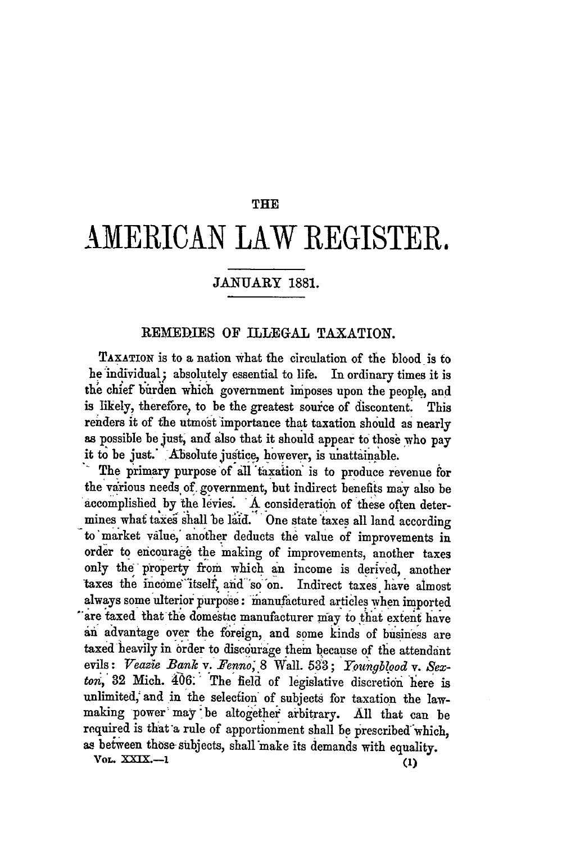#### THE

## **AMERICAN** LAW REGISTER.

#### **JANUARY** 1881.

#### REMEDIES OF ILLEGAL TAXATION.

**TAXATION** is to a nation what the circulation of the blood is to **he** 'individual; absolutely essential to life. In ordinary times it is the chief burden which government imposes upon the people, and is likely, therefore, to be the greatest source of discontent. This renders it of the utmost importance that taxation should as nearly as possible be just, and also that it should appear to those who pay it to be just. Absolute justice, however, is unattainable.

The primary purpose of all taxation is to produce revenue for the various needs of government, but indirect benefits may also be accomplished by the levies.. **A** consideration of these often determines what taxes shall be laid. One state taxes all land according to market value, another deducts the value of improvements in order to encourage the making of improvements, another taxes only the property from which an income is derived, another taxes the income itself, and so on. Indirect taxes have almost always some ulterior purpose: manufactured articles when imported "are taxed that the domestic manufacturer m'ay to that extent have an advantage over the foreign, and some kinds of business are taxed heavily in order to discourage them because of the attendant evils: Veazie Bank v. Fenno, 8 Wall. 533; Youngblood v. Sexton, 32 Mich.  $406$ : The field of legislative discretion here is unlimited, and in the selection of subjects for taxation the lawmaking power may 'be altogether arbitrary. All that can be required is that 'a rule of apportionment shall be prescribed"which, as between those subjects, shall make its demands with equality.<br> **VOL. XXIX.--1** (1)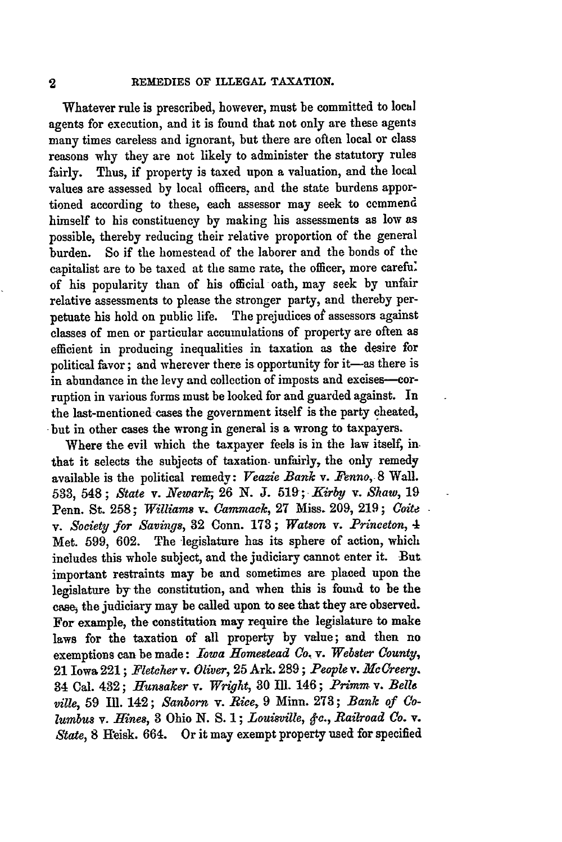Whatever rule is prescribed, however, must be committed to lochl agents for execution, and it is found that not only are these agents many times careless and ignorant, but there are often local or class reasons why they are not likely to administer the statutory rules fairly. Thus, if property is taxed upon a valuation, and the local values are assessed **by** local officers, and the state burdens apportioned according to these, each assessor may seek to cemmend himself to his constituency **by** making his assessments as low as possible, thereby reducing their relative proportion of the general burden. So if the homestead of the laborer and the bonds of the capitalist are to be taxed at the same rate, the officer, more carefu: of his popularity than of his official oath, may seek **by** unfair relative assessments to please the stronger party, and thereby perpetuate his hold. on public life. The prejudices **of** assessors against classes of men or particular accumulations of property are often as efficient in producing inequalities in taxation as the desire for political favor; and wherever there is opportunity for it-as there is in abundance in the levy and collection of imposts and excises--- corruption in various forms must be looked for and guarded against. In the last-mentioned cases the government itself is the party cheated, but in other cases the wrong in general is a wrong to taxpayers.

Where the evil which the taxpayer feels is in the law itself, inthat it selects the subjects of taxation. unfairly, the only remedy available is the political remedy: *Veazie Bank* v. *Penno,* 8 Wall. **533,** 548 ; *State v. Newark;* **26 N. J. 519;** *Kirby* v. *Shaw,* **<sup>19</sup>** Penn. St. 258; *Williams* v. *Cammaek,* **27** Miss. 209, 219; *Coite*  $v.$  *Society for Savings, 32 Conn. 173; Watson v. Princeton, 4* Met. 599, 602. The legislature has its sphere of action, which includes this whole subject, and the judiciary cannot enter it. But important restraints may be and sometimes are placed upon the legislature **by** the constitution, and when this is foumd to be the ease, the judiciary may be called upon to see that they are observed. For example, the constitution may require the legislature to make laws for the taxation of all property by value; and then no exemptions can be made: *Iowa Homestead Co. v. Webster County,* 21 Iowa 221; *Fletcher v. Oliver,* 25 Ark. 289; *People v. MeCreery.* 34 Cal. 432 ; *Hunsaker v. Wright,* **30** Ill. 146 ; *Primm* v. *Belle ville,* 59 Ill. 142; *Sanborn v. Rice,* 9 Minn. **273;** *Bank of Columbus* v. *Hines,* **3** Ohio **N.** *S.* 1; *Louisgville, &c., Railroad Co.* v. *State, 8 Heisk. 664.* Or it may exempt property used for specified

 $\overline{2}$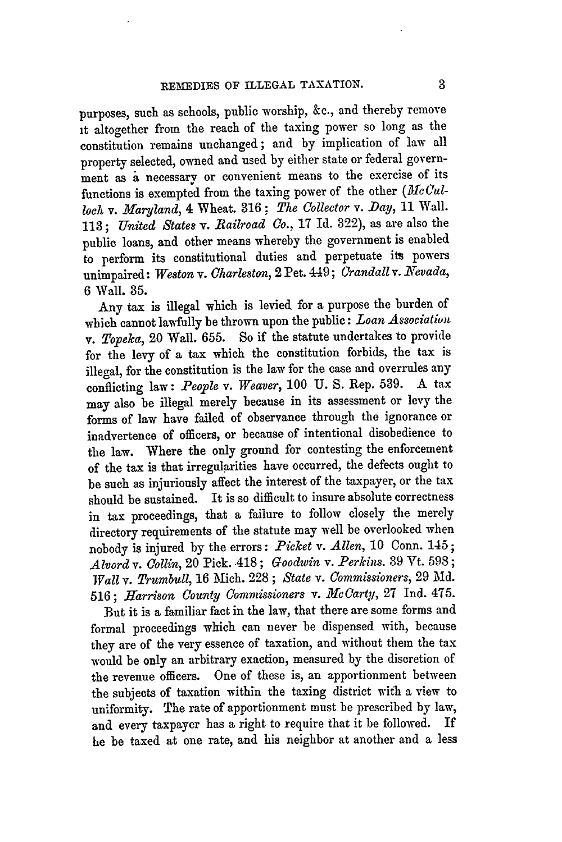purposes, such as schools, public worship, &c., and thereby remove it altogether from the reach of the taxing power so long as the constitution remains unchanged; and by implication of law all property selected, owned and used by either state or federal government as a necessary or convenient means to the exercise of its functions is exempted from the taxing power of the other *(McCulloch* v. Maryland, 4 Wheat. 316; The Collector v. Day, 11 Wall. 113; *United* States *v. Bailroad Co.,* 17 Id. 322), as are also the public loans, and other means whereby the government is enabled to perform its constitutional duties and perpetuate its powers unimpaired: Weston v. Charleston, 2 Pet. 449; Crandall v. Nevada, 6 Wall. 35.

Any tax is illegal which is levied for a purpose the burden of which cannot lawfully be thrown upon the public: *Loan Association v. Topeka,* 20 Wall. 655. So if the statute undertakes to provide for the levy of a tax which the constitution forbids, the tax is illegal, for the constitution is the law for the case and overrules any conflicting law: *People v. Weaver,* 100 U. S. Rep. 539. A tax may also be illegal merely because in its assessment or levy the forms of law have failed of observance through the ignorance or inadvertence of officers, or because of intentional disobedience to the law. Where the only ground for contesting the enforcement of the tax is that irregularities have occurred, the defects ought to be such as injuriously affect the interest of the taxpayer, or the tax should be sustained. It is so difficult to insure absolute correctness in tax proceedings, that a failure to follow closely the merely directory requirements of the statute may well be overlooked when nobody is injured by the errors: *Picket v. Allen,* 10 Conn. 145; *Alvord v. Collin,* 20 Pick. 418 ; *Goodiin v. Perkins.* 39 Vt. 598 **;** *Wall v. Trumbull,* 16 Mich. 228 ; *State v. Commissioners,* 29 Md. 516; *Harrison County Commissioners v. XcLarql,* 27 Ind. 475.

But it is a familiar fact in the law, that there are some forms and formal proceedings which can never be dispensed with, because they are of the very essence of taxation, and without them the tax would be only an arbitrary exaction, measured by the discretion of the revenue officers. One of these is, an apportionment between the subjects of taxation within the taxing district with a view to uniformity. The rate of apportionment must be prescribed by law, and every taxpayer has a right to require that it be followed. If he be taxed at one rate, and his neighbor at another and a less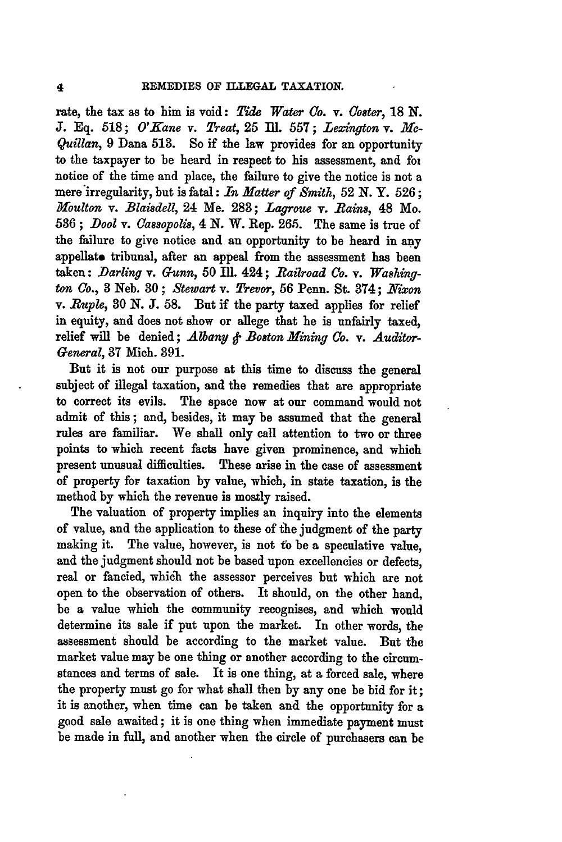rate, the tax as to him is void: *Tide Water (o. v. Coster,* **18 N. J. Eq. 518;** *O'Kane v. Treat,* 25 111. **557;** *Lexington* v. **Me-***Quillan,* 9 Dana 513. So if the law provides for an opportunity to the taxpayer to be heard in respect to his assessment, and foi notice of the time and place, the failure to give the notice is not a mere'irregularity, but is fatal: *In Matter of Smith,* **52** N. Y. **526 ;** *Moulton v. Blaisdell,* 24 Me. **283;** *Lagroue* v. *Rains,* 48 Mo. **536 ;** *.Dool v. (assopolis,* 4 *N.* W. Rep. **265.** The same is true of the failure to give notice and an opportunity to be heard in any appellato tribunal, after an appeal from the assessment has been taken: *Darling v. Gunn,* 50 Ill. 424; Railroad Co. v. Washing*ton Co.,* **3** Neb. **30;** *&ewart* v. *Trevor,* **56** Penn. St. 374; *NYixon* v. *Ruple, 30* **N. J. 58.** But if the party taxed applies for relief in equity, and does not show or allege that he is unfairly taxed, relief will be denied; *Albany & Boston Mining Co. v. Auditor-General,* **87** Mich. 391.

But it is not our purpose at this time to discuss the general subject of illegal taxation, and the remedies that are appropriate to correct its evils. The space now at our command would not admit of this; and, besides, it may be assumed that the general rules are familiar. We shall only call attention to two or three points to which recent facts have given prominence, and which present unusual difficulties. These arise in the case of assessment of property for taxation **by** value, which, in state taxation, is the method **by** which the revenue is mostly raised.

The valuation of property implies an inquiry into the elements of value, and the application to these of **the** judgment of the party making it. The value, however, is not **to** be a speculative value, and the judgment should not be based upon excellencies or defects, real or fancied, which the assessor perceives but which are not open to the observation of others. It should, on the other hand, be a value which the community recognises, and which would determine its sale if put upon the market. In other words, the assessment should be according to the market value. But the market value may be one thing or another according to the circumstances and terms of sale. It is one thing, at a forced sale, where the property must go for what shall then **by** any one be bid for it; it is another, when time can be taken and the opportunity for a good sale awaited; it is one thing when immediate payment must be made in full, and another when the circle of purchasers can be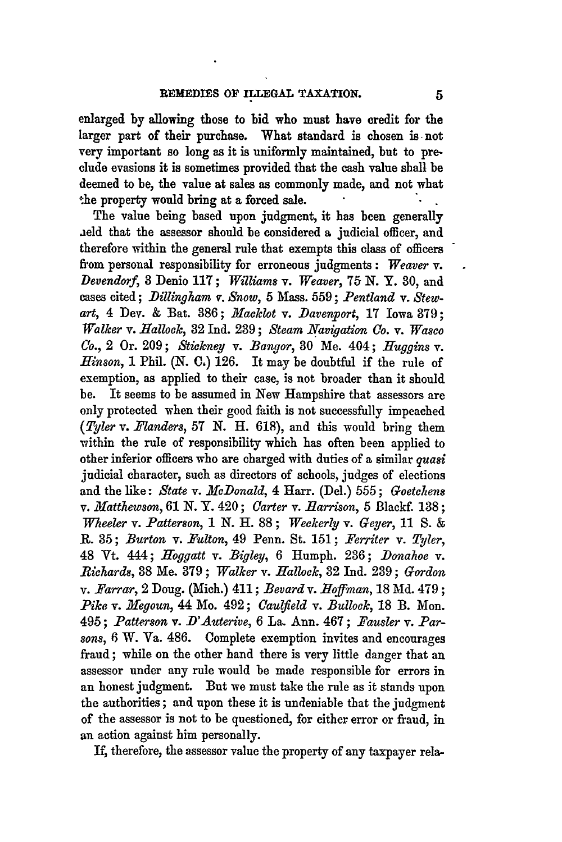enlarged **by** allowing those to bid who must have credit for the larger part of their purchase. What standard is chosen **is-** not very important so long as it is uniformly maintained, but to pre**clude** evasions it is sometimes provided that the cash value shall be deemed to be, the value at sales as commonly made, and not what the property would bring at a forced sale.

The value being based upon judgment, it has been generally aeld that the assessor should be considered a judicial officer, and therefore within the general rule that exempts this class of officers from personal responsibility for erroneous judgments: *Weaver v. Devendorf,* **8** Denio **117;** *Williams v. Weaver,* **75 N.** Y. **30,** and cases cited; *Dillingham v. Snow,* 5 Mass. 559; *Pentland* v. *Stewart,* 4 Dev. & Bat. 386; *Macklot v. Davenvort,* 17 Iowa 379; *Walker v. ifallock,* **32** Ind. **239;** *Steam Navigation Co. v. Wasco Co.,* 2 Or. 209; *&tickney v. Bangor,* 80 Me. 404; *Huggins v. Hinson,* 1 Phil. **(N. C,)** 126. It may be doubtful if the rule of exemption, as applied to their case, is not broader than it should be. It seems to be assumed in New Hampshire that assessors are only protected when their good faith is not successfully impeached *(Tyler v. Flanders,* 57 N. H. 618), and this would bring them within the rule of responsibility which has often been applied to other inferior officers who are charged with duties of a similar *quasi* judicial character, such as directors of schools, judges of elections and the like: *State v. McDonald,* 4 Harr. (Del.) 555; *Goetchens v. Matthewson,* 61 *N.* Y. 420; *Carter v. Barrison,* 5 Blackf. 138; *Wheeler v. Patterson,* 1 *N.* H. 88 **;** *Weckerly v. Geyer,* **11 S.** & R. 35; *Burton v. Fulton,* 49 Penn. St. 151; *Per7iter* v. *Tyler,* 48 Vt. 444; *Hoggatt v. Bigley,* 6 Humph. 236; *Donahoe v. Richards,* **38** Me. **379** ; *Walker v. iallock,* **32** Ind. **239 ;** *Gordon v. Farrar,* 2 Doug. (Mich.) 411 ; *Bevard v. .Hoffman,* 18 Md. 479 **;** *Pike v. Megoun,* 44 Mo. 492; *Caulfield v. Bullock,* 18 B. Mon. 495; *Patterson v. D'Auterive,* 6 La. Ann. 467; *Pausler v. Parsons,* 6 W. Va. 486. Complete exemption invites and encourages fraud; while on the other hand there is very little danger that an assessor under any rule would be made responsible for errors in an honest judgment. But we must take the rule as it stands upon the authorities; and upon these it is undeniable that the judgment of the assessor is not to be questioned, for either error or fraud, in an action against him personally.

**If,** therefore, the assessor value the property of any taxpayer rela-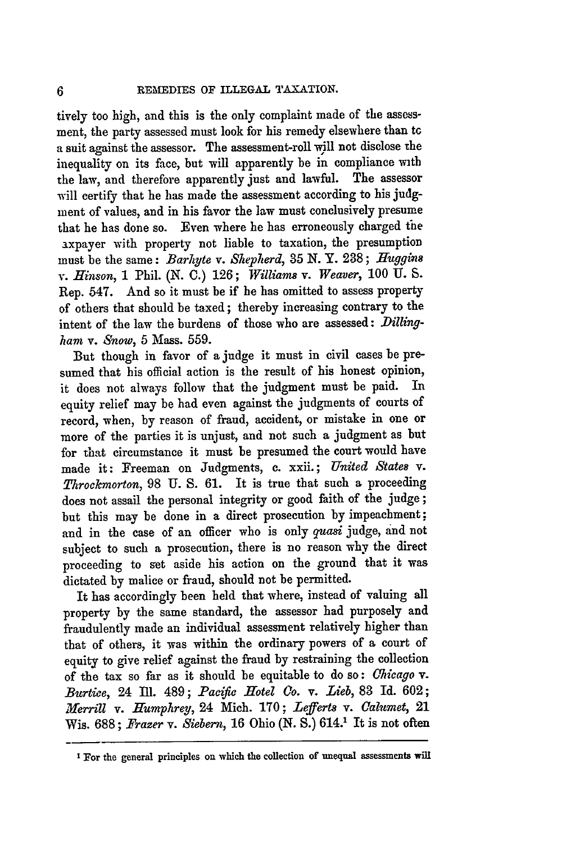tively too high, and this is the only complaint made of the assessment, the party assessed must look for his remedy elsewhere than tG a suit against the assessor. The assessment-roll will not disclose the inequality on its face, but will apparently be in compliance with the law, and therefore apparently just and lawful. The assessor will certify that he has made the assessment according to his judgment of values, and in his favor the law must conclusively presume that he has done so. Even where he has erroneously charged the axpayer with property not liable to taxation, the presumption must be the same: *Barhyte v. Shepherd, 35* N. Y. **238;** *Huggins v. Hinson,* **1** Phil. (N. **C.)** 126; *Williams v. Weaver,* 100 U. S. Rep. 547. And so it must be if he has omitted to assess property of others that should be taxed; thereby increasing contrary to the intent of the law the burdens of those who are assessed: Dilling*ham v. Snow,* 5 Mass. 559.

But though in favor of **a** judge it must in civil cases be presumed that his official action is the result of his honest opinion, it does not always follow that the judgment must be paid. In equity relief may be had even against the judgments of courts of record, when, by reason of fraud, accident, or mistake in one or more of the parties it is unjust, and not such a judgment as but for that circumstance it must be presumed the court would have made it: Freeman on Judgments, **c.** xxii.; *United States v. Throckmorton,* 98 U. S. 61. It is true that such **a** proceeding does not assail the personal integrity or good faith of the judge; but this may be done in a direct prosecution **by** impeachment; and in the case of an officer who is only *quasi* judge, and not subject to such a prosecution, there is no reason why the direct proceeding to set aside his action on the ground that it was dictated by malice or fraud, should not be permitted.

It has accordingly been held that where, instead of valuing all property by the same standard, the assessor had purposely and fraudulently made an individual assessment relatively higher than that of others, it was within the ordinary powers of a court of equity to give relief against the fraud **by** restraining the collection of the tax so far as it should be equitable to do so: *Chicago v. Burtice,* 24 Ill. 489; *Paczftc Hotel Go. v. Lieb,* **83** Id. 602; *Merrill v. Humphrey,* 24 Mich. 170; *Lefferts v. Calumet,* 21 Wis. 688; *Frazer v. Siebern,* 16 Ohio **(N.** S.) 614.' It is not often

**I** For the general principles on which the collection of unequal assessments will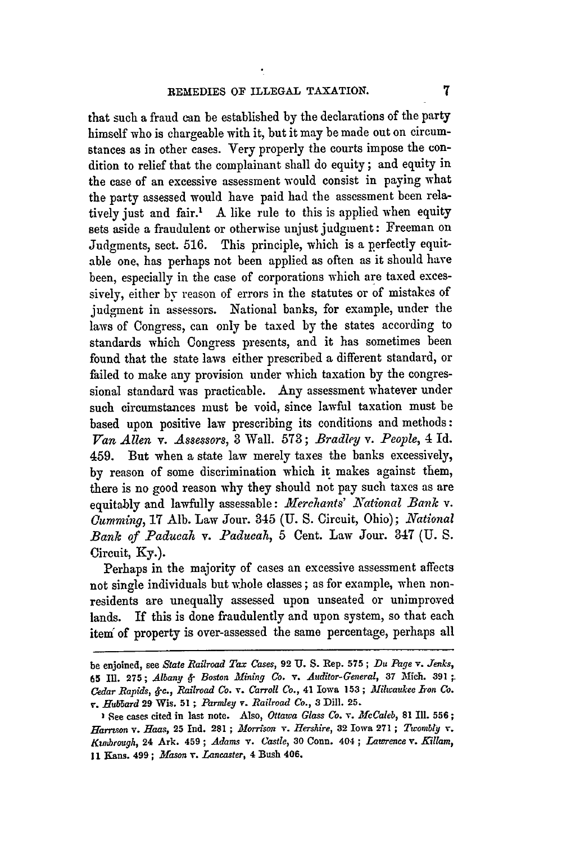that such a fraud can be established by the declarations of the party himself who is chargeable with it, but it may be made out on circumstances as in other cases. Very properly the courts impose the condition to relief that the complainant shall do equity; and equity in the case of an excessive assessment would consist in paying what the party assessed would have paid had the assessment been relatively just and fair.' A like rule to this is applied when equity sets aside a fraudulent or otherwise unjust judgment: Freeman on Judgments, sect. 516. This principle, which is a perfectly equitable one, has perhaps not been applied as often as it should have been, especially in the case of corporations which are taxed excessively, either by reason of errors in the statutes or of mistakes of judgment in assessors. National banks, for example, under the laws of Congress, can only be taxed by the states according to standards which Congress presents, and it has sometimes been found that the state laws either prescribed a different standard, or failed to make any provision under which taxation by the congressional standard was practicable. Any assessment whatever under such circumstances must be void, since lawful taxation must be based upon positive law prescribing its conditions and methods: *Van Allen v. Assessors,* **3** Wall. 573; *Bradley v. People,* 4 Id. 459. But when a state law merely taxes the banks excessively, **by** reason of some discrimination which it makes against them, there is no good reason why they should not pay such taxes as are equitably and lawfully assessable: *Merchants' National Bank v. Gummzing,* **17** Alb. Law Jour. 345 (U. S. Circuit, Ohio); *National Bank of Paducah v. Paducah,* 5 Cent. Law Jour. 347 **(U. S.** Circuit, **Ky.).**

Perhaps in the majority of cases an excessive assessment affects not single individuals but whole classes; as for example, when nonresidents are unequally assessed upon unseated or unimproved lands. If this is done fraudulently and upon system, so that each item" of property is over-assessed the same percentage, perhaps all

**be enjoined,** see *State Railroad Tax Cases,* **92 U. S. Rep. 575;** *Du Page v. Jenks,* **65 II. 275;** *Albany 4- Boston Mining Co. v. Auditor-General,* **37 Mich. 391 .** *Cedar Rapids, 4-c., Railroad Co. v. Carroll Co.,* 41 **Iowa 153;** *3ilwaukee Iron Co. r. Hubbard* **29 Wis. 51 ;** *Parnley* **v.** *Railroad Co.,* **3 Dill. 25.**

**See cases cited in last note. Also,** *Ottawa Glass Co. v. McCaleb,* **81 Ill. 556;** *Harr son* **v.** *Haas,* **25 Ind. 281 ;** *Morrison v. Hershire,* **32 Iowa 271 ;** *Twomby v. Kunibrough,* **24 Ark. 459 ;** *Adams Y. Castle,* **30 Conn. 404 ;** *Lawrence v. Killam,* **11 Kans. 499;** *Mason v. Lancaster,* 4 **Bush 406.**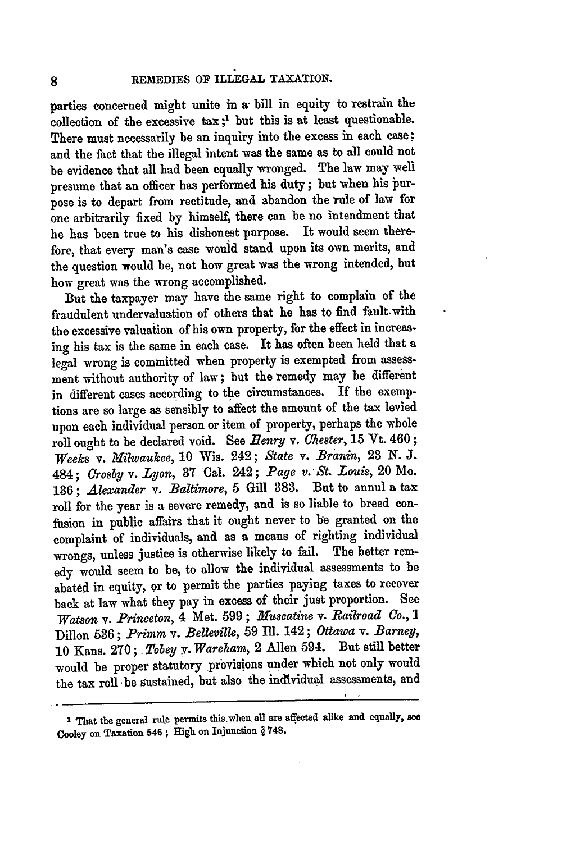parties concerned might unite in a bill in equity to restrain the collection of the excessive tax **;'** but this is at least questionable. There must necessarily be an inquiry into the excess in each case; and the fact that the illegal intent was the same as to all could not be evidence that all bad been equally wronged. The law may well presume that an officer has performed his duty; but when his jurpose is to depart from rectitude, and abandon the rule of law for one arbitrarily fixed **by** himself, there can be no intendment that he has been true to his dishonest purpose. It would seem therefore, that every man's case would stand upon its own merits, and the question would be, not how great was the wrong intended, but how great was the wrong accomplished.

But the taxpayer may have the same right to complain of the fraudulent undervaluation of others that he has to find fault-with the excessive valuation of his own property, for the effect in increasing his tax is the same in each case. It has often been held that a legal wrong is committed when property is exempted from assessment without authority of law; but the remedy may be different in different cases according to the circumstances. If the exemptions are so large as sensibly to affect the amount of the tax levied upon each individual person or item of property, perhaps the whole roll ought to be declared void. See *Henry* v. *Chester,* **15** Yt. 460; *Weeks v. Milwaukee,* **10** Wis. 242; *State* v. *Branin,* 23 **N. J.** 484; *Crosby v. Lyon,* **37** Cal. 242; *Page v. St. Louis,* 20 Mo. 136; *Alexander v. Baltimore,* 5 Gill 883. But to annul a tax roll for the year is a severe remedy, and is so liable to breed confusion in public affairs that it ought never to be granted on the complaint of individuals, and as a means of righting individual wrongs, unless justice is otherwise likely to fail. The better remedy would seem to be, to allow the individual assessments to be abated in equity, or to permit the parties paying taxes to recover back at law what they pay in excess of their just proportion. See *Watson v. Princeton,* 4 Met. 599; *Muscatine* v. *Railroad Co., 1* Dillon **536;** *Primm* v. *Belleville,* 59 III. 142; *Ottawa v. Barney,* **10** Kans. **270;** *Tobey y. Wareham,* 2 Allen 594. But still better would be proper statutory provisions under which not only would the tax roll be sustained, but also the individual assessments, and

**I** That the general rule permits this.wheu. all are affected alike and equally, **se** Cooley on Taxation 546 **;** High on Injunction **J 748.**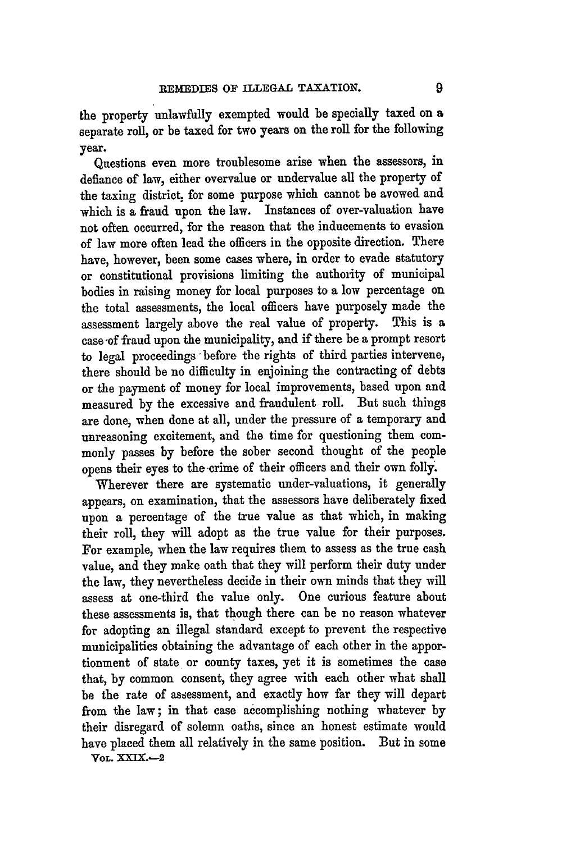the property unlawfully exempted would be specially taxed on a separate roll, or be taxed for two years on the roll for the following year.

Questions even more troublesome arise when the assessors, in defiance of law, either overvalue or undervalue all the property of the taxing district, for some purpose which cannot be avowed and which is a fraud upon the law. Instances of over-valuation have not often occurred, for the reason that the inducements to evasion of law more often lead the officers in the opposite direction. There have, however, been some cases where, in order to evade statutory or constitutional provisions limiting the authority of municipal bodies in raising money for local purposes to a low percentage on the total assessments, the local officers have purposely made the assessment largely above the real value of property. This is **a** case of fraud upon the municipality, and if there be a prompt resort to legal proceedings -before the rights of third parties intervene, there should be no difficulty in enjoining the contracting of debts or the payment of money for local improvements, based upon and measured **by** the excessive and fraudulent roll. But such things are done, when done at all, under the pressure of a temporary and unreasoning excitement, and the time for questioning them commonly passes **by** before the sober second thought of the people opens their eyes to the crime of their officers and their own folly.

Wherever there are systematic under-valuations, it generally appears, on examination, that the assessors have deliberately fixed upon a percentage of the true value as that which, in making their roll, they will adopt as the true value for their purposes. For example, when the law requires them to assess as the true cash value, and they make oath that they will perform their duty under the law, they nevertheless decide in their own minds that they will assess at one-third the value only. One curious feature about these assessments is, that though there can be no reason whatever for adopting an illegal standard except to prevent the respective municipalities obtaining the advantage of each other in the apportionment of state or county taxes, yet it is sometimes the case that, **by** common consent, they agree with each other what shall be the rate of assessment, and exactly how far they will depart from the law; in that case accomplishing nothing whatever **by** their disregard of solemn oaths, since an honest estimate would have placed them all relatively in the same position. But in some

**VOL. XXIX.-2**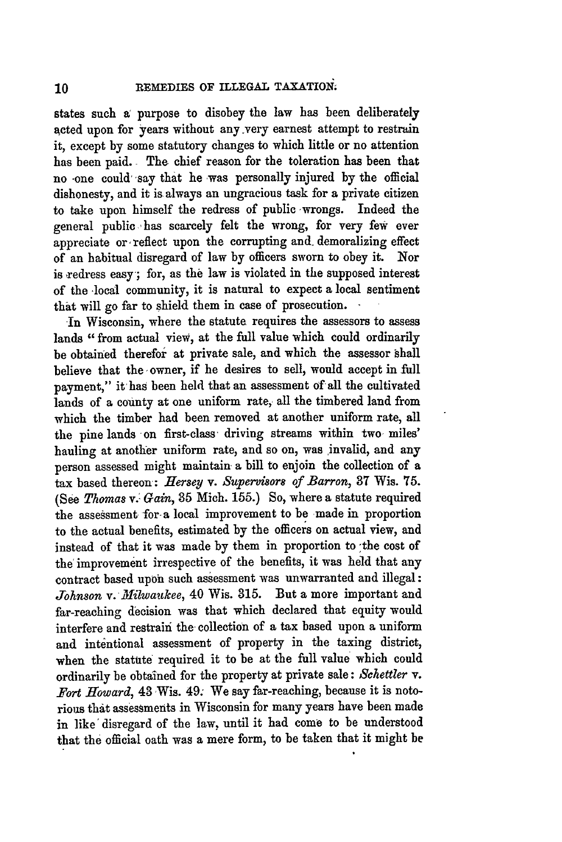states such a purpose to disobey the law has been deliberately acted upon for years without any very earnest attempt to restrain it, except **by** some statutory changes to which little or no attention has been paid. **The** chief reason for the toleration has been that no -one could' say that he was personally injured **by** the official dishonesty, and it is always an ungracious task for a private citizen to take upon himself the redress of public wrongs. Indeed the general public 'has scarcely felt the wrong, for very few ever appreciate or reflect upon the corrupting and demoralizing effect of an habitual disregard of law **by** officers sworn to obey it. Nor is redress easy'; for, as the law is violated in the supposed interest of the 'local community, it is natural to expect a local sentiment that will go far to shield them in case of prosecution. **-**

In Wisconsin, where the statute requires the assessors to assess lands "from actual view, at the full value which could ordinarily be obtained therefor at private sale, and which the assessor shall believe that the owner, if he desires to sell, would accept in full payment," it has been held that an assessment **of** all the cultivated lands of a county at one uniform rate, all the timbered land from which the timber had been removed at another uniform rate, all the pine lands 'on first-class driving streams within two miles' hauling at another uniform rate, and so on, was invalid, and any person assessed might maintain a bill to enjoin the collection of a tax based thereon: *Hersey v. Supervisors of Barron,* **37** Wis. **75.** *(See Thomas v. Gain,* 85 Mich. 155.) So, where a statute required the assessment for-a local improvement to be made in proportion to the actual benefits, estimated by the officers on actual view, and instead of that it was made by them in proportion to the cost of the' improvement irrespective of the benefits, it was held that any contract based upon such assessment was unwarranted and illegal: *Johnson v. Milwaukee,* 40 Wis. 315. But a more important and far-reaching decision was that which declared that equity would interfere and restrain the collection of a tax based upon a uniform and intentional assessment of property in the taxing district, when the statute required it to be at the full value which could ordinarily be obtained for the property at private sale: *Schettler v. Fort Howard,* 43 Wis. 49. We say far-reaching, because it is notorious that assessments in Wisconsin for many years have been made in like'disregard of the law, until it had come to be understood that the official oath was a mere form, to be taken that it might be

10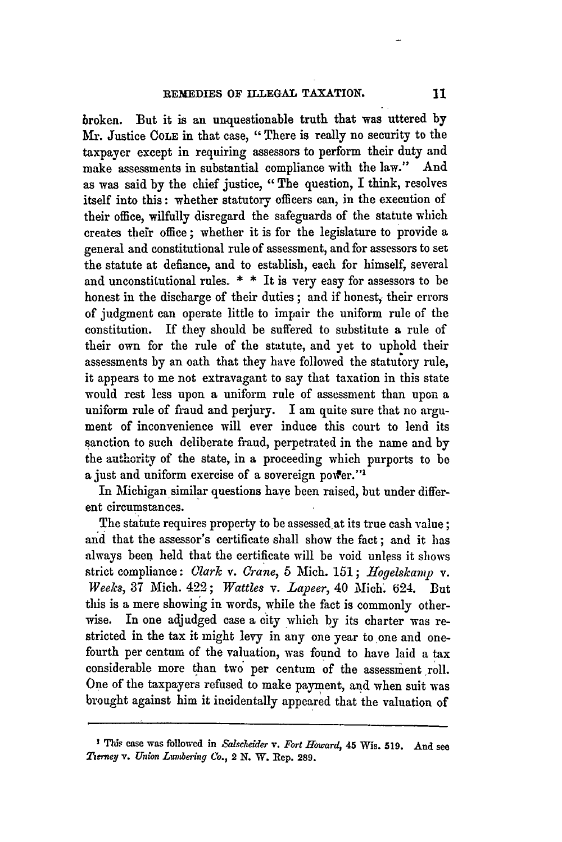broken. But it is an unquestionable truth that was uttered **by** Mr. Justice **COLE** in that case, "There is really no security to the taxpayer except in requiring assessors to perform their duty and make assessments in substantial compliance with the law." And as was said **by** the chief justice, "The question, I think, resolves itself into this: whether statutory officers can, in the execution of their office, wilfully disregard the safeguards of the statute which creates their office; whether it is for the legislature to provide a general and constitutional rule of assessment, and for assessors to set the statute at defiance, and to establish, each for himself, several and unconstitutional rules.  $*$   $*$  It is very easy for assessors to be honest in the discharge of their duties **;** and if honest, their errors of judgment can operate little to impair the uniform rule of the constitution. If they should be suffered to substitute a rule of their own for the rule of the statute, and yet to uphold their assessments **by** an oath that they have followed the statutory rule, it appears to me not extravagant to say that taxation in this state would rest less upon a uniform rule of assessment than upon a uniform rule of fraud and perjury. I am quite sure that no argument of inconvenience will ever induce this court to lend its sanction to such deliberate fraud, perpetrated in the name and **by** the authority of the state, in a proceeding which purports to be a just and uniform exercise of a sovereign power."<sup>1</sup>

In Michigan similar questions have been raised, but under different circumstances.

The statute requires property to be assessed at its true cash value; and that the assessor's certificate shall show the fact; and it has always been held that the certificate will be void unless it shows strict compliance: *Olark v. Crane,* 5 Mich. 151; *Hogelskamp v. Weeks,* 37 Mich. 422; *Wattles v. Lapeer,* 40 Mich' **'** 24. But this is a mere showing in words, while the fact is commonly otherwise. In one adjudged case a city which by its charter was restricted in the tax it might levy in any one year to one and onefourth per centum of the valuation, was found to have laid a tax considerable more than two per centum of the assessment roll. One of the taxpayers refused to make payment, and when suit was brought against him it incidentally appeared that the valuation of

**This case** was followed **in** *Salscheier v. Fort Howard,* 45 Wis. **519. And** see *Tierney* v. *Union Lunering Co.,* 2 **N.** W. **Rep. 289.**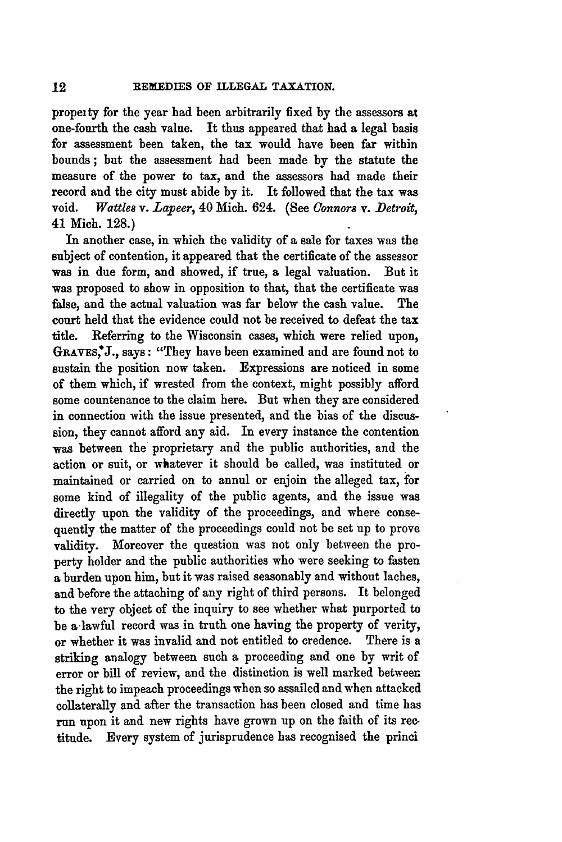propei ty for the year had been arbitrarily fixed **by** the assessors at one-fourth the cash value. It thus appeared that had a legal basis for assessment been taken, the tax would have been far within bounds; but the assessment had been made by the statute the measure of the power to tax, and the assessors had made their record and the city must abide by it. It followed that the tax was void. *Wattles v. Lapeer,* 40 Mich. 624. (See *Connors v. Detroit,* 41 Mich. 128.)

In another case, in which the validity of a sale for taxes was the subject of contention, it appeared that the certificate of the assessor was in due form, and showed, if true, a legal valuation. But it was proposed to show in opposition to that, that the certificate was false, and the actual valuation was far below the cash value. The court held that the evidence could not be received to defeat the tax title. Referring to the Wisconsin cases, which were relied upon, **GRAVEs,\*J.,** says: "They have been examined and are found not to sustain the position now taken. Expressions are noticed in some of them which, if wrested from the context, might possibly afford some countenance to the claim here. But when they are considered in connection with the issue presented, and the bias of the discussion, they cannot afford any aid. In every instance the contention was between the proprietary and the public authorities, and the action or suit, or whatever it should be called, was instituted or maintained or carried on to annul or enjoin the alleged tax, **ior** some kind of illegality of the public agents, and the issue was directly upon the validity of the proceedings, and where consequently the matter of the proceedings could not be set up to prove validity. Moreover the question was not only between the property holder and the public authorities who were seeking to fasten a burden upon him, but it was raised seasonably and without laches, and before the attaching of any right of third persons. It belonged to the very object of the inquiry to see whether what purported to be a lawful record was in truth one having the property of verity, or whether it was invalid and not entitled to credence. There is a striking analogy between such a proceeding and one **by** writ of error or bill of review, and the distinction is well marked between the right to impeach proceedings when so assailed and when attacked collaterally and after the transaction has been closed and time has run upon it and new rights have grown up on the faith of its rec. titude. Every system of jurisprudence has recognised the princi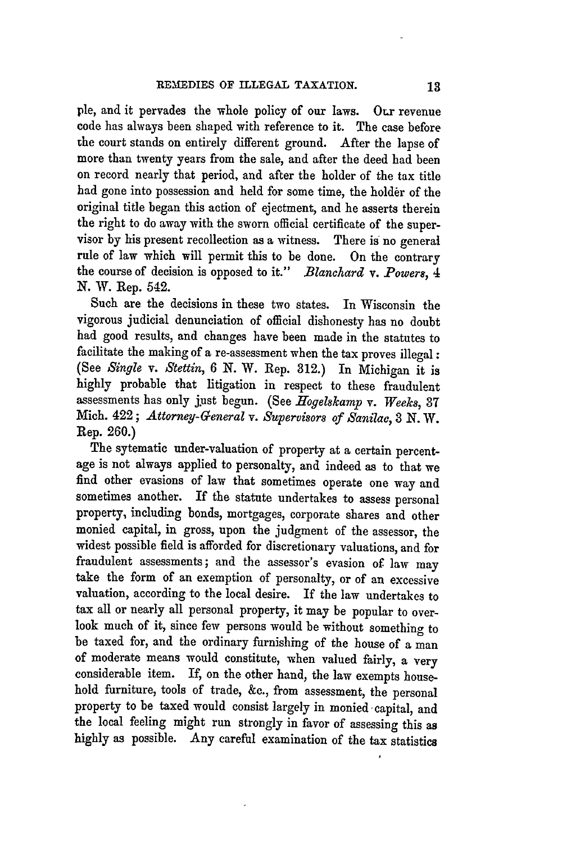ple, and it pervades the whole policy of our laws. Our revenue code has always been shaped with reference to it. The case before the court stands on entirely different ground. After the lapse of more than twenty years from the sale, and after the deed had been on record nearly that period, and after the holder of the tax title had gone into possession and held for some time, the holder of the original title began this action of ejectment, and he asserts therein the right to do away with the sworn official certificate of the supervisor **by** his present recollection as a witness. There is no general rule of law which will permit this to be done. On the contrary the course of decision is opposed to it." *Blanchard v. Powers, 4* **N.** W. Rep. 542.

Such are the decisions in these two states. In Wisconsin the vigorous judicial denunciation of official dishonesty has no doubt had good results, and changes have been made in the statutes to facilitate the making of a re-assessment when the tax proves illegal : (See *Single v. Stettin, 6* **N.** W. Rep. **312.)** In Michigan it is highly probable that litigation in respect to these fraudulent assessments has only just begun. (See *Hogelskamp v. Weeks*, 37 Mich. 422; *Attorney-General v. Supervisors of Sanilac,* **3** *N.* W. Rep. **260.)**

The sytematic under-valuation of property at a certain percentage is not always applied to personalty, and indeed as to that we find other evasions of law that sometimes operate one way and sometimes another. If the statute undertakes to assess personal property, including bonds, mortgages, corporate shares and other monied capital, in gross, upon the judgment of the assessor, the widest possible field is afforded for discretionary valuations, and for fraudulent assessments; and the assessor's evasion of law may take the form of an exemption of personalty, or of an excessive valuation, according to the local desire. If the law undertakes to tax all or nearly all personal property, it may be popular to overlook much of it, since few persons would be without something to be taxed for, and the ordinary furnishing of the house of a man of moderate means would constitute, when valued fairly, a very considerable item. If, on the other hand, the law exempts household furniture, tools of trade, **&c.,** from assessment, the personal property to be taxed would consist largely in monied capital, and the local feeling might run strongly in favor of assessing this as **highly** as possible. Any careful examination of the tax statistics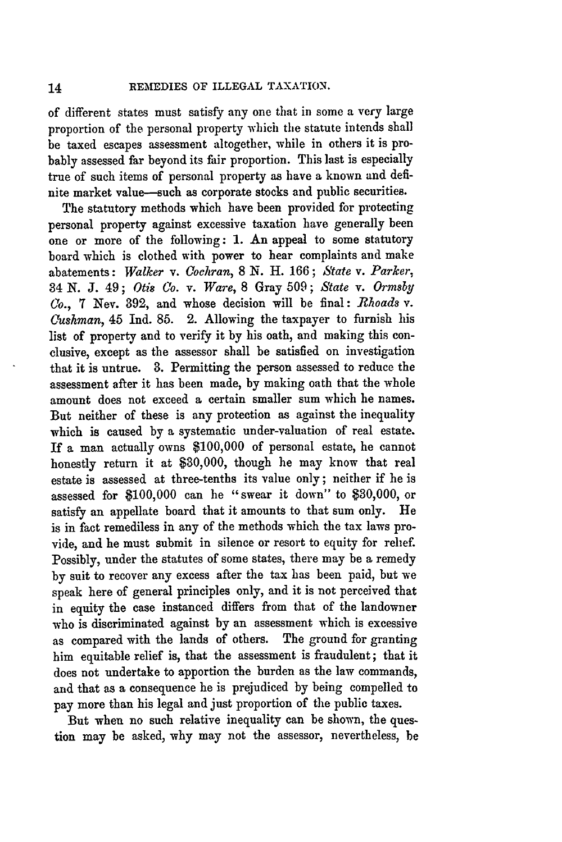of different states must satisfy any one that in some a very large proportion of the personal property which the statute intends shall be taxed escapes assessment altogether, while in others it is probably assessed far beyond its fair proportion. This last is especially true of such items of personal property as have a known and definite market value-such as corporate stocks and public securities.

The statutory methods which have been provided for protecting personal property against excessive taxation have generally been one or more of the following: 1. An appeal to some statutory board which is clothed with power to hear complaints and make abatements: *Walker v. Cochran,* 8 **N.** H. 166; *State v. Parker,* 34 N. *J.* 49; *Otis Co. v. Ware,* 8 Gray 509; *State v. Ormsby Co.,* 7 Nev. 892, and whose decision will be final: *Rhoads v. Cushman,* 45 Ind. 85. 2. Allowing the taxpayer to furnish his list of property and to verify it by his oath, and making this conclusive, except as the assessor shall be satisfied on investigation that it is untrue. **3.** Permitting the person assessed to reduce the assessment after it has been made, by making oath that the whole amount does not exceed a certain smaller sum which he names. But neither of these is any protection as against the inequality which is caused by a systematic under-valuation of real estate. If a man actually owns \$100,000 of personal estate, he cannot honestly return it at \$30,000, though he may know that real estate is assessed at three-tenths its value only; neither if he is assessed for \$100,000 can he "swear it down" to \$30,000, or satisfy an appellate board that it amounts to that sum only. He is in fact remediless in any of the methods which the tax laws provide, and he must submit in silence or resort to equity for relief. Possibly, under the statutes of some states, there may be a remedy by suit to recover any excess after the tax has been paid, but we speak here of general principles only, and it is not perceived that in equity the case instanced differs from that of the landowner who is discriminated against by an assessment which is excessive as compared with the lands of others. The ground for granting him equitable relief is, that the assessment is fraudulent; that it does not undertake to apportion the burden as the law commands, and that as a consequence he is prejudiced by being compelled to pay more than his legal and just proportion of the public taxes.

But when no such relative inequality can be shown, the question may be asked, **why** may not the assessor, nevertheless, be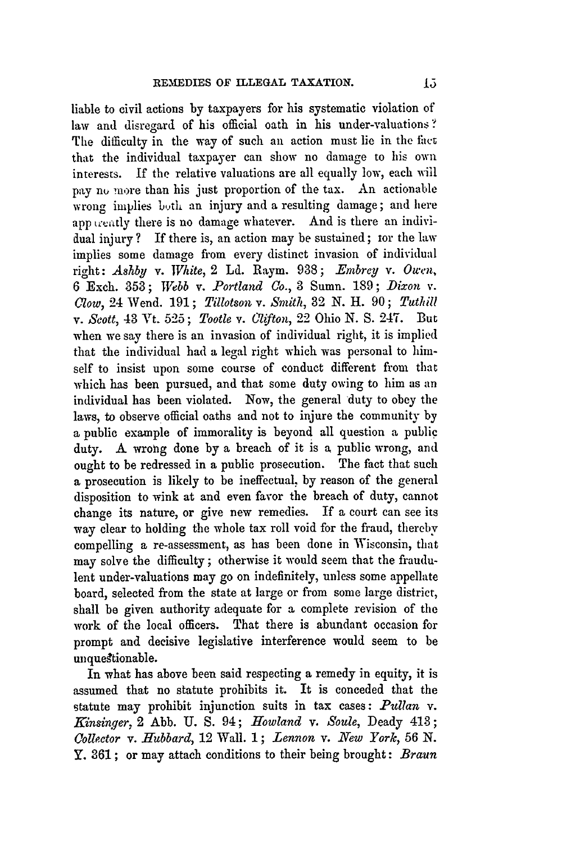liable to civil actions **by** taxpayers for his systematic violation of law and disregard of his official oath in his under-valuations **?** The difficulty in the way of such an action must lie in the fact that the individual taxpayer can show no damage to his own interests. If the relative valuations are all equally low, each will pay no more than his just proportion of the tax. An actionable wrong implies both an injury and a resulting damage; and here app treatly there is no damage whatever. And is there an individual injury **?** If there is, an action may be sustained; tor the law implies some damage from every distinct invasion of individual right: *Ashby v. White,* 2 **Ld.** Raym. 938; *-Embrey v. Owen,* 6 Exch. 353; *Webb v. Portland Co.,* **3** Sumn. 189; *Dixon v. Clow,* 24 Wend. 191; *Tillotson v. Smith,* 32 N. H. 90; *Tuthill v. Scott,* 43 Vt. 525; *Tootle v. Clifton,* 22 Ohio N. S. 247. But when we say there is an invasion of individual right, it is implied that the individual had a legal right which was personal to himself to insist upon some course of conduct different from that which has been pursued, and that some duty owing to him as an individual has been violated. Now, the general duty to obey the laws, to observe official oaths and not to injure the community by a public example of immorality is beyond all question a public duty. A wrong done by a breach of it is **a** public wrong, and ought to be redressed in a public prosecution. The fact that such a prosecution is likely to be ineffectual, by reason of the general disposition to wink at and even favor the breach of duty, cannot change its nature, or give new remedies. If a court can see its way clear to holding the whole tax roll void for the fraud, thereby compelling a re-assessment, as has been done in Wisconsin, that may solve the difficulty; otherwise it would seem that the fraudulent under-valuations may go on indefinitely, unless some appellate board, selected from the state at large or from some large district, shall be given authority adequate for a complete revision of the work of the local officers. That there is abundant occasion for prompt and decisive legislative interference would seem to be unquegtionable.

In what has above been said respecting a remedy in equity, it is assumed that no statute prohibits it. It is conceded that the statute may prohibit injunction suits in tax cases: *Pullan* v. *Kinsinger, 2 Abb. U. S. 94; Howland v. Soule, Deady 413; Collector v. Hubbard,* 12 Wall. 1; *Lennon v. New York,* 56 **N.** Y. 361; or may attach conditions to their being brought: *Braun*